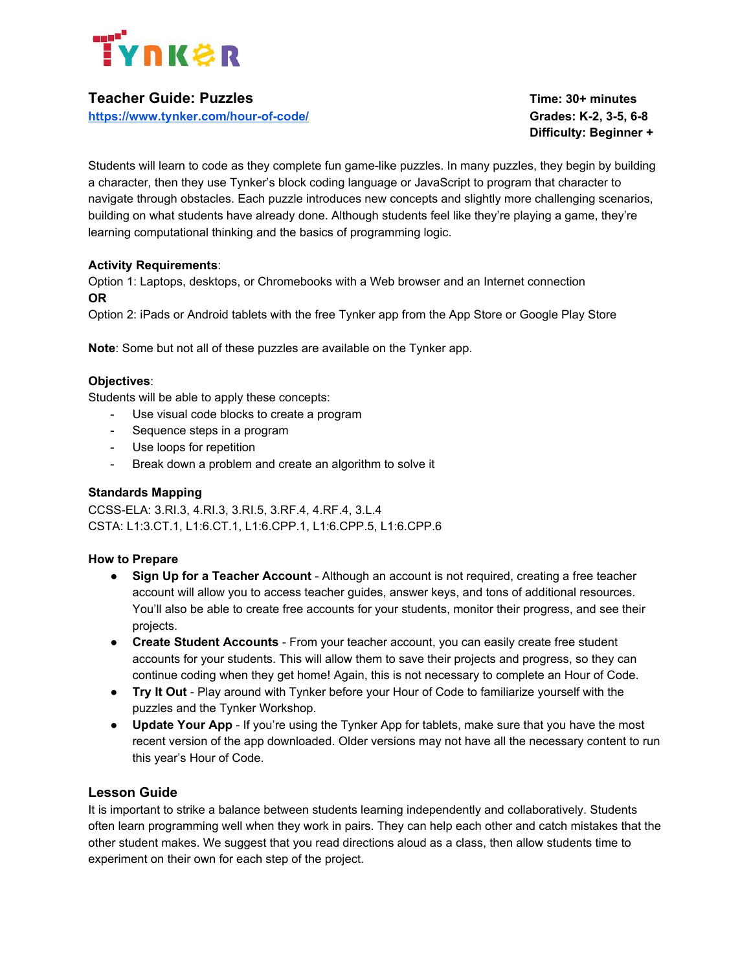

# **Teacher Guide: Puzzles Time: 30+ minutes**

**<https://www.tynker.com/hour-of-code/> Grades: K-2, 3-5, 6-8**

**Difficulty: Beginner +**

Students will learn to code as they complete fun game-like puzzles. In many puzzles, they begin by building a character, then they use Tynker's block coding language or JavaScript to program that character to navigate through obstacles. Each puzzle introduces new concepts and slightly more challenging scenarios, building on what students have already done. Although students feel like they're playing a game, they're learning computational thinking and the basics of programming logic.

# **Activity Requirements**:

Option 1: Laptops, desktops, or Chromebooks with a Web browser and an Internet connection **OR**

Option 2: iPads or Android tablets with the free Tynker app from the App Store or Google Play Store

**Note**: Some but not all of these puzzles are available on the Tynker app.

### **Objectives**:

Students will be able to apply these concepts:

- Use visual code blocks to create a program
- Sequence steps in a program
- Use loops for repetition
- Break down a problem and create an algorithm to solve it

# **Standards Mapping**

CCSS-ELA: 3.RI.3, 4.RI.3, 3.RI.5, 3.RF.4, 4.RF.4, 3.L.4 CSTA: L1:3.CT.1, L1:6.CT.1, L1:6.CPP.1, L1:6.CPP.5, L1:6.CPP.6

# **How to Prepare**

- **Sign Up for a Teacher Account** Although an account is not required, creating a free teacher account will allow you to access teacher guides, answer keys, and tons of additional resources. You'll also be able to create free accounts for your students, monitor their progress, and see their projects.
- **Create Student Accounts** From your teacher account, you can easily create free student accounts for your students. This will allow them to save their projects and progress, so they can continue coding when they get home! Again, this is not necessary to complete an Hour of Code.
- **Try It Out** Play around with Tynker before your Hour of Code to familiarize yourself with the puzzles and the Tynker Workshop.
- **Update Your App** If you're using the Tynker App for tablets, make sure that you have the most recent version of the app downloaded. Older versions may not have all the necessary content to run this year's Hour of Code.

### **Lesson Guide**

It is important to strike a balance between students learning independently and collaboratively. Students often learn programming well when they work in pairs. They can help each other and catch mistakes that the other student makes. We suggest that you read directions aloud as a class, then allow students time to experiment on their own for each step of the project.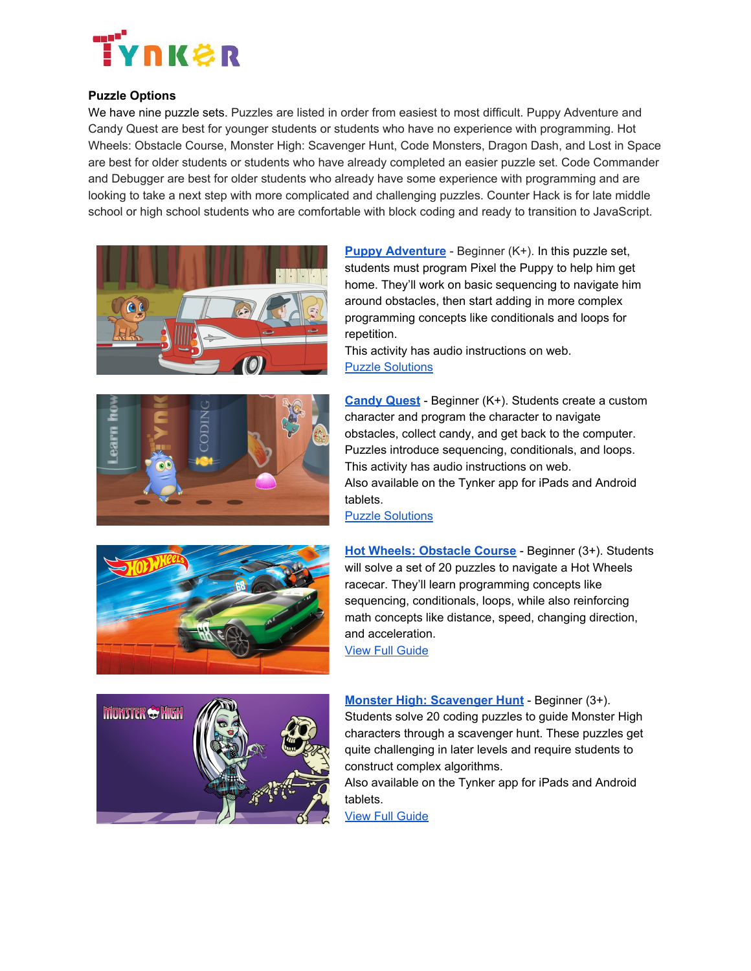

# **Puzzle Options**

We have nine puzzle sets. Puzzles are listed in order from easiest to most difficult. Puppy Adventure and Candy Quest are best for younger students or students who have no experience with programming. Hot Wheels: Obstacle Course, Monster High: Scavenger Hunt, Code Monsters, Dragon Dash, and Lost in Space are best for older students or students who have already completed an easier puzzle set. Code Commander and Debugger are best for older students who already have some experience with programming and are looking to take a next step with more complicated and challenging puzzles. Counter Hack is for late middle school or high school students who are comfortable with block coding and ready to transition to JavaScript.





**[Puppy Adventure](https://www.tynker.com/hour-of-code/puppy-adventure)** - Beginner (K+). In this puzzle set, students must program Pixel the Puppy to help him get home. They'll work on basic sequencing to navigate him around obstacles, then start adding in more complex programming concepts like conditionals and loops for repetition.

This activity has audio instructions on web. [Puzzle Solutions](http://www.tynker.com/support/hoc-2014-answer-keys/answerkey?l=5)

**[Candy Quest](https://www.tynker.com/hour-of-code/candy-quest)** - Beginner (K+). Students create a custom character and program the character to navigate obstacles, collect candy, and get back to the computer. Puzzles introduce sequencing, conditionals, and loops. This activity has audio instructions on web. Also available on the Tynker app for iPads and Android tablets.



[Puzzle Solutions](http://www.tynker.com/support/hoc-2014-answer-keys/candy-quest/)

**Hot Wheels: [Obstacle Course](https://www.tynker.com/hour-of-code/hot-wheels)** - Beginner (3+). Students will solve a set of 20 puzzles to navigate a Hot Wheels racecar. They'll learn programming concepts like sequencing, conditionals, loops, while also reinforcing math concepts like distance, speed, changing direction, and acceleration.

[View Full Guide](https://www.tynker.com/courses/hot-wheels/tynker-hot-wheels-teacher-guide.pdf)



**Monster High: [Scavenger](https://www.tynker.com/hour-of-code/monster-high) Hunt** - Beginner (3+). Students solve 20 coding puzzles to guide Monster High characters through a scavenger hunt. These puzzles get quite challenging in later levels and require students to construct complex algorithms.

Also available on the Tynker app for iPads and Android tablets.

[View Full Guide](https://www.tynker.com/courses/monster-high/tynker-monster-high-teacher-guide.pdf)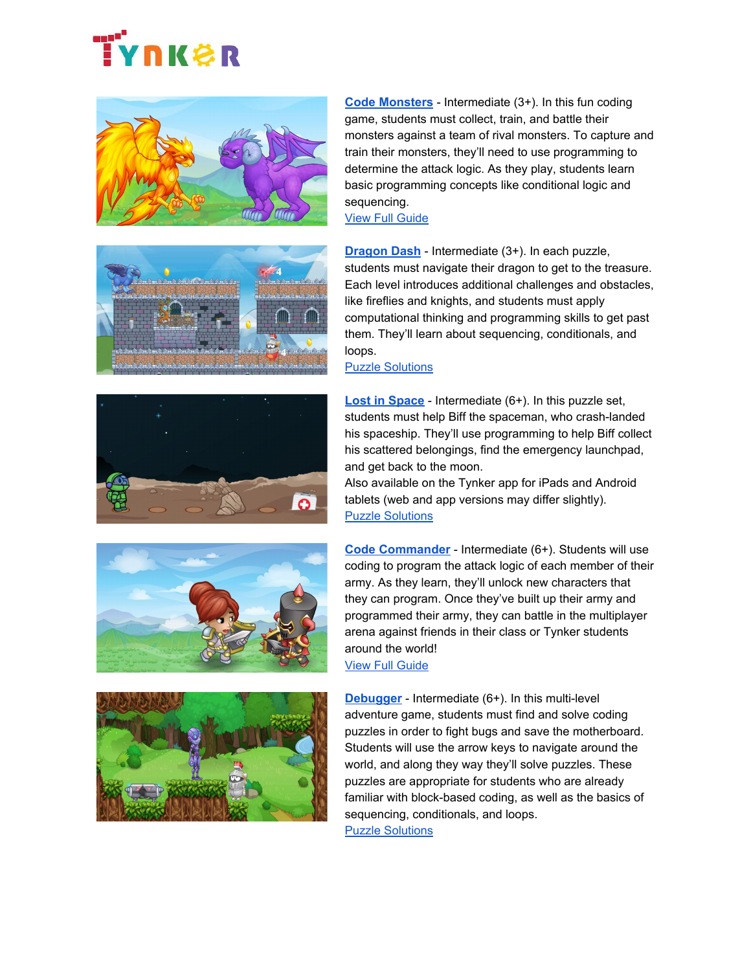# **IYNK&R**











**[Code Monsters](https://www.tynker.com/hour-of-code/code-monsters)** - Intermediate (3+). In this fun coding game, students must collect, train, and battle their monsters against a team of rival monsters. To capture and train their monsters, they'll need to use programming to determine the attack logic. As they play, students learn basic programming concepts like conditional logic and sequencing.

[View Full Guide](https://www.tynker.com/courses/code-monsters/tynker-code-monsters-teacher-guide.pdf)

**[Dragon Dash](https://www.tynker.com/hour-of-code/dragon-dash)** - Intermediate (3+). In each puzzle, students must navigate their dragon to get to the treasure. Each level introduces additional challenges and obstacles, like fireflies and knights, and students must apply computational thinking and programming skills to get past them. They'll learn about sequencing, conditionals, and loops.

[Puzzle Solutions](http://www.tynker.com/support/hoc-2014-answer-keys/dragon-dash/)

**Lost [in Space](https://www.tynker.com/hour-of-code/api/start?chapterid=52829dbf4d50f1be0d000062§ion=0)** - Intermediate (6+). In this puzzle set, students must help Biff the spaceman, who crash-landed his spaceship. They'll use programming to help Biff collect his scattered belongings, find the emergency launchpad, and get back to the moon.

Also available on the Tynker app for iPads and Android tablets (web and app versions may differ slightly). [Puzzle Solutions](http://www.tynker.com/support/hoc-2014-answer-keys/answerkey?l=2)

**[Code Commander](https://www.tynker.com/hour-of-code/code-commander)** - Intermediate (6+). Students will use coding to program the attack logic of each member of their army. As they learn, they'll unlock new characters that they can program. Once they've built up their army and programmed their army, they can battle in the multiplayer arena against friends in their class or Tynker students around the world! [View Full Guide](https://www.tynker.com/courses/code-commander/tynker-code-commander-teacher-guide.pdf)

**[Debugger](https://www.tynker.com/hour-of-code/debugger)** - Intermediate (6+). In this multi-level adventure game, students must find and solve coding puzzles in order to fight bugs and save the motherboard. Students will use the arrow keys to navigate around the world, and along they way they'll solve puzzles. These puzzles are appropriate for students who are already familiar with block-based coding, as well as the basics of sequencing, conditionals, and loops. [Puzzle Solutions](http://www.tynker.com/support/hoc-2014-answer-keys/debugger/)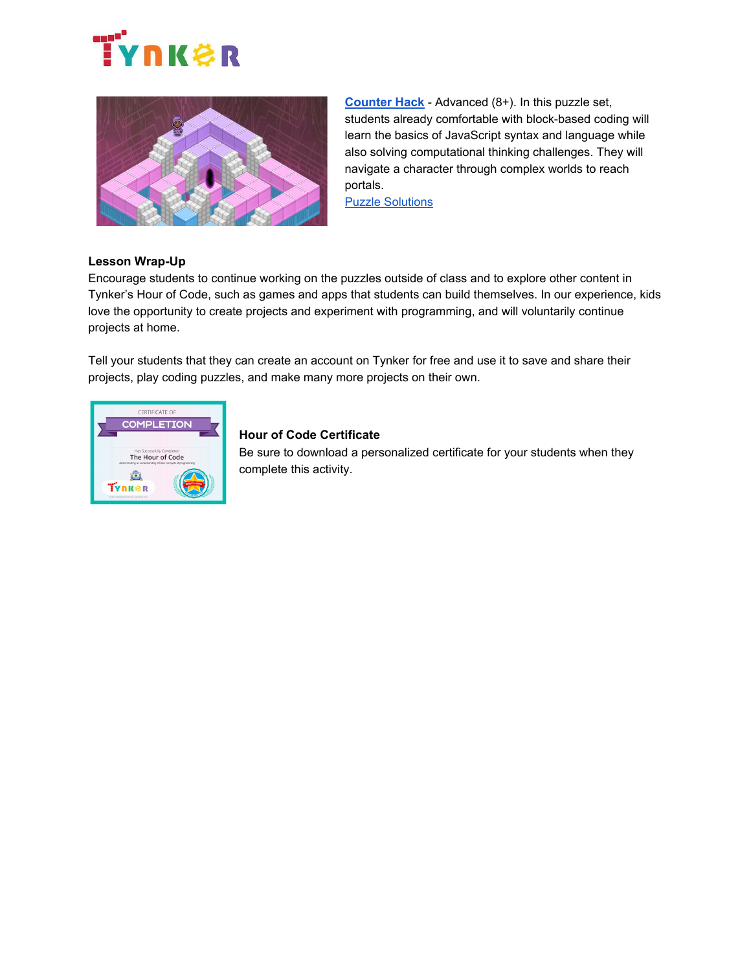



**[Counter](https://www.tynker.com/hour-of-code/counter-hack) Hack** - Advanced (8+). In this puzzle set, students already comfortable with block-based coding will learn the basics of JavaScript syntax and language while also solving computational thinking challenges. They will navigate a character through complex worlds to reach portals.

[Puzzle Solutions](http://www.tynker.com/support/hoc-2014-answer-keys/counter-hack/)

### **Lesson Wrap-Up**

Encourage students to continue working on the puzzles outside of class and to explore other content in Tynker's Hour of Code, such as games and apps that students can build themselves. In our experience, kids love the opportunity to create projects and experiment with programming, and will voluntarily continue projects at home.

Tell your students that they can create an account on Tynker for free and use it to save and share their projects, play coding puzzles, and make many more projects on their own.



# **Hour of Code Certificate**

Be sure to download a personalized certificate for your students when they complete this activity.